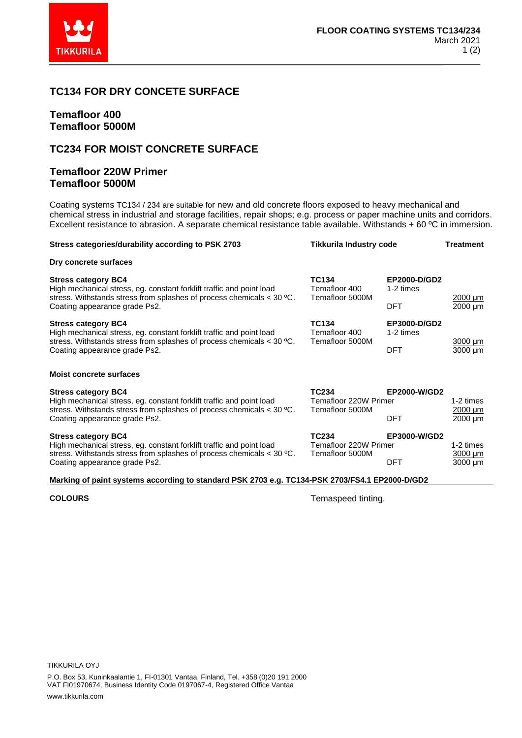

## **TC134 FOR DRY CONCETE SURFACE**

# **Temafloor 400 Temafloor 5000M**

# **TC234 FOR MOIST CONCRETE SURFACE**

### **Temafloor 220W Primer Temafloor 5000M**

Coating systems TC134 / 234 are suitable for new and old concrete floors exposed to heavy mechanical and chemical stress in industrial and storage facilities, repair shops; e.g. process or paper machine units and corridors. Excellent resistance to abrasion. A separate chemical resistance table available. Withstands + 60 ºC in immersion.

| Stress categories/durability according to PSK 2703                                                                                                                                                                                        | <b>Tikkurila Industry code</b>                                                                                              |                           | <b>Treatment</b>             |
|-------------------------------------------------------------------------------------------------------------------------------------------------------------------------------------------------------------------------------------------|-----------------------------------------------------------------------------------------------------------------------------|---------------------------|------------------------------|
| Dry concrete surfaces                                                                                                                                                                                                                     |                                                                                                                             |                           |                              |
| <b>Stress category BC4</b><br>High mechanical stress, eg. constant forklift traffic and point load<br>stress. Withstands stress from splashes of process chemicals $<$ 30 °C.                                                             | <b>TC134</b><br>Temafloor 400<br>Temafloor 5000M                                                                            | EP2000-D/GD2<br>1-2 times | $2000 \mu m$                 |
| Coating appearance grade Ps2.                                                                                                                                                                                                             |                                                                                                                             | <b>DFT</b>                | $2000 \mu m$                 |
| <b>Stress category BC4</b><br>High mechanical stress, eg. constant forklift traffic and point load                                                                                                                                        | <b>TC134</b><br>Temafloor 400<br>stress. Withstands stress from splashes of process chemicals $<$ 30 °C.<br>Temafloor 5000M | EP3000-D/GD2<br>1-2 times | $3000 \mu m$<br>$3000 \mu m$ |
| Coating appearance grade Ps2.                                                                                                                                                                                                             |                                                                                                                             | <b>DFT</b>                |                              |
| <b>Moist concrete surfaces</b>                                                                                                                                                                                                            |                                                                                                                             |                           |                              |
| <b>Stress category BC4</b><br>High mechanical stress, eg. constant forklift traffic and point load<br>stress. Withstands stress from splashes of process chemicals $<$ 30 °C.                                                             | <b>TC234</b><br>EP2000-W/GD2<br>Temafloor 220W Primer<br>Temafloor 5000M                                                    |                           | 1-2 times<br>2000 um         |
| Coating appearance grade Ps2.                                                                                                                                                                                                             | <b>DFT</b>                                                                                                                  |                           | 2000 um                      |
| <b>TC234</b><br><b>Stress category BC4</b><br>High mechanical stress, eg. constant forklift traffic and point load<br>Temafloor 220W Primer<br>stress. Withstands stress from splashes of process chemicals $<$ 30 °C.<br>Temafloor 5000M |                                                                                                                             | EP3000-W/GD2              | 1-2 times<br>$3000 \mu m$    |
| Coating appearance grade Ps2.                                                                                                                                                                                                             |                                                                                                                             | <b>DFT</b>                | $3000 \mu m$                 |

#### **Marking of paint systems according to standard PSK 2703 e.g. TC134-PSK 2703/FS4.1 EP2000-D/GD2**

**COLOURS** Temaspeed tinting.